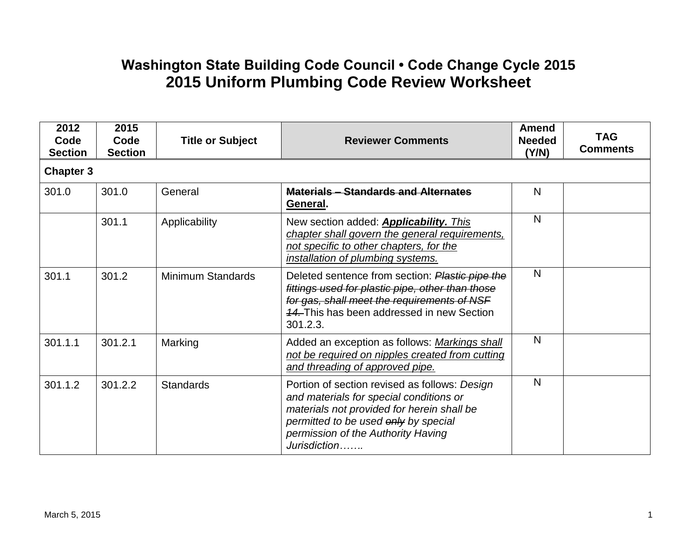## **Washington State Building Code Council • Code Change Cycle 2015 2015 Uniform Plumbing Code Review Worksheet**

| 2012<br>Code<br><b>Section</b> | 2015<br>Code<br><b>Section</b> | <b>Title or Subject</b>  | <b>Reviewer Comments</b>                                                                                                                                                                                                             | <b>Amend</b><br><b>Needed</b><br>(Y/N) | <b>TAG</b><br><b>Comments</b> |
|--------------------------------|--------------------------------|--------------------------|--------------------------------------------------------------------------------------------------------------------------------------------------------------------------------------------------------------------------------------|----------------------------------------|-------------------------------|
| <b>Chapter 3</b>               |                                |                          |                                                                                                                                                                                                                                      |                                        |                               |
| 301.0                          | 301.0                          | General                  | <b>Materials - Standards and Alternates</b><br>General.                                                                                                                                                                              | N                                      |                               |
|                                | 301.1                          | Applicability            | New section added: <b>Applicability.</b> This<br>chapter shall govern the general requirements,<br>not specific to other chapters, for the<br>installation of plumbing systems.                                                      | N                                      |                               |
| 301.1                          | 301.2                          | <b>Minimum Standards</b> | Deleted sentence from section: Plastic pipe the<br>fittings used for plastic pipe, other than those<br>for gas, shall meet the requirements of NSF<br>44. This has been addressed in new Section<br>301.2.3.                         | N                                      |                               |
| 301.1.1                        | 301.2.1                        | Marking                  | Added an exception as follows: Markings shall<br>not be required on nipples created from cutting<br>and threading of approved pipe.                                                                                                  | N                                      |                               |
| 301.1.2                        | 301.2.2                        | <b>Standards</b>         | Portion of section revised as follows: Design<br>and materials for special conditions or<br>materials not provided for herein shall be<br>permitted to be used only by special<br>permission of the Authority Having<br>Jurisdiction | N                                      |                               |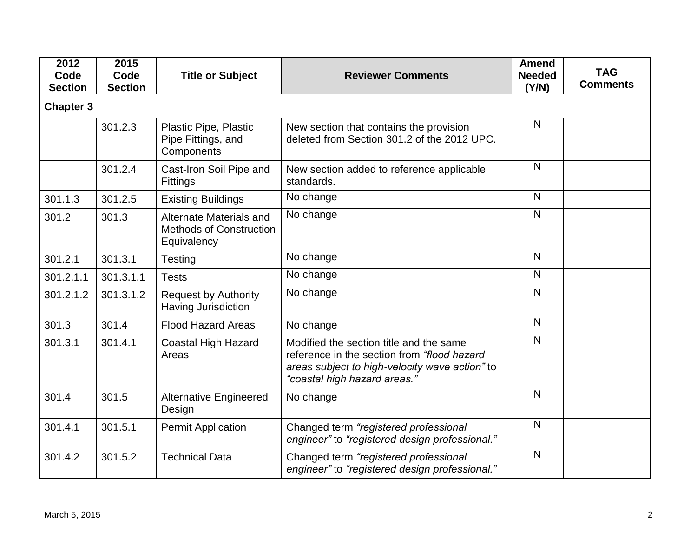| 2012<br>Code<br><b>Section</b> | 2015<br>Code<br><b>Section</b> | <b>Title or Subject</b>                                                  | <b>Reviewer Comments</b>                                                                                                                                                 | <b>Amend</b><br><b>Needed</b><br>(Y/N) | <b>TAG</b><br><b>Comments</b> |
|--------------------------------|--------------------------------|--------------------------------------------------------------------------|--------------------------------------------------------------------------------------------------------------------------------------------------------------------------|----------------------------------------|-------------------------------|
| <b>Chapter 3</b>               |                                |                                                                          |                                                                                                                                                                          |                                        |                               |
|                                | 301.2.3                        | Plastic Pipe, Plastic<br>Pipe Fittings, and<br>Components                | New section that contains the provision<br>deleted from Section 301.2 of the 2012 UPC.                                                                                   | N                                      |                               |
|                                | 301.2.4                        | Cast-Iron Soil Pipe and<br>Fittings                                      | New section added to reference applicable<br>standards.                                                                                                                  | N                                      |                               |
| 301.1.3                        | 301.2.5                        | <b>Existing Buildings</b>                                                | No change                                                                                                                                                                | $\mathsf{N}$                           |                               |
| 301.2                          | 301.3                          | Alternate Materials and<br><b>Methods of Construction</b><br>Equivalency | No change                                                                                                                                                                | $\mathsf{N}$                           |                               |
| 301.2.1                        | 301.3.1                        | Testing                                                                  | No change                                                                                                                                                                | N                                      |                               |
| 301.2.1.1                      | 301.3.1.1                      | <b>Tests</b>                                                             | No change                                                                                                                                                                | $\mathsf{N}$                           |                               |
| 301.2.1.2                      | 301.3.1.2                      | <b>Request by Authority</b><br>Having Jurisdiction                       | No change                                                                                                                                                                | N                                      |                               |
| 301.3                          | 301.4                          | <b>Flood Hazard Areas</b>                                                | No change                                                                                                                                                                | N                                      |                               |
| 301.3.1                        | 301.4.1                        | <b>Coastal High Hazard</b><br>Areas                                      | Modified the section title and the same<br>reference in the section from "flood hazard<br>areas subject to high-velocity wave action" to<br>"coastal high hazard areas." | N                                      |                               |
| 301.4                          | 301.5                          | <b>Alternative Engineered</b><br>Design                                  | No change                                                                                                                                                                | $\mathsf{N}$                           |                               |
| 301.4.1                        | 301.5.1                        | <b>Permit Application</b>                                                | Changed term "registered professional<br>engineer" to "registered design professional."                                                                                  | $\mathsf{N}$                           |                               |
| 301.4.2                        | 301.5.2                        | <b>Technical Data</b>                                                    | Changed term "registered professional<br>engineer" to "registered design professional."                                                                                  | N                                      |                               |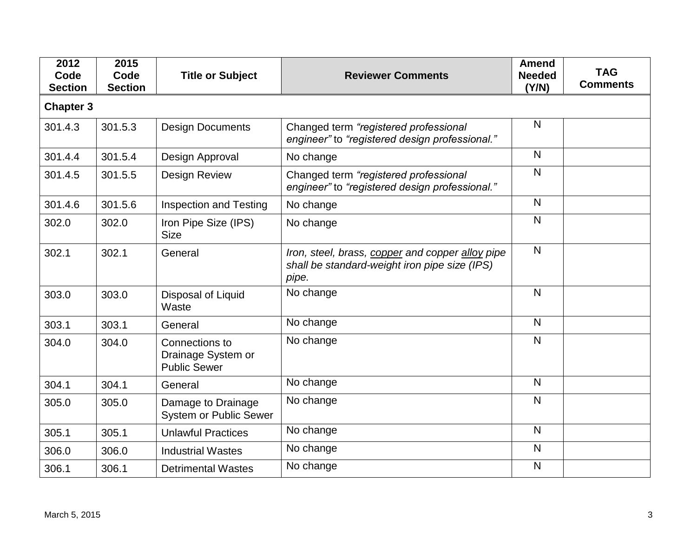| 2012<br>Code<br><b>Section</b> | 2015<br>Code<br><b>Section</b> | <b>Title or Subject</b>                                     | <b>Reviewer Comments</b>                                                                                   | <b>Amend</b><br><b>Needed</b><br>(Y/N) | <b>TAG</b><br><b>Comments</b> |
|--------------------------------|--------------------------------|-------------------------------------------------------------|------------------------------------------------------------------------------------------------------------|----------------------------------------|-------------------------------|
| <b>Chapter 3</b>               |                                |                                                             |                                                                                                            |                                        |                               |
| 301.4.3                        | 301.5.3                        | <b>Design Documents</b>                                     | Changed term "registered professional<br>engineer" to "registered design professional."                    | $\mathsf{N}$                           |                               |
| 301.4.4                        | 301.5.4                        | Design Approval                                             | No change                                                                                                  | N                                      |                               |
| 301.4.5                        | 301.5.5                        | <b>Design Review</b>                                        | Changed term "registered professional<br>engineer" to "registered design professional."                    | $\mathsf{N}$                           |                               |
| 301.4.6                        | 301.5.6                        | <b>Inspection and Testing</b>                               | No change                                                                                                  | N                                      |                               |
| 302.0                          | 302.0                          | Iron Pipe Size (IPS)<br><b>Size</b>                         | No change                                                                                                  | N                                      |                               |
| 302.1                          | 302.1                          | General                                                     | Iron, steel, brass, copper and copper alloy pipe<br>shall be standard-weight iron pipe size (IPS)<br>pipe. | $\mathsf{N}$                           |                               |
| 303.0                          | 303.0                          | Disposal of Liquid<br>Waste                                 | No change                                                                                                  | $\mathsf{N}$                           |                               |
| 303.1                          | 303.1                          | General                                                     | No change                                                                                                  | N                                      |                               |
| 304.0                          | 304.0                          | Connections to<br>Drainage System or<br><b>Public Sewer</b> | No change                                                                                                  | N                                      |                               |
| 304.1                          | 304.1                          | General                                                     | No change                                                                                                  | $\mathsf{N}$                           |                               |
| 305.0                          | 305.0                          | Damage to Drainage<br><b>System or Public Sewer</b>         | No change                                                                                                  | N                                      |                               |
| 305.1                          | 305.1                          | <b>Unlawful Practices</b>                                   | No change                                                                                                  | N                                      |                               |
| 306.0                          | 306.0                          | <b>Industrial Wastes</b>                                    | No change                                                                                                  | $\mathsf{N}$                           |                               |
| 306.1                          | 306.1                          | <b>Detrimental Wastes</b>                                   | No change                                                                                                  | $\mathsf{N}$                           |                               |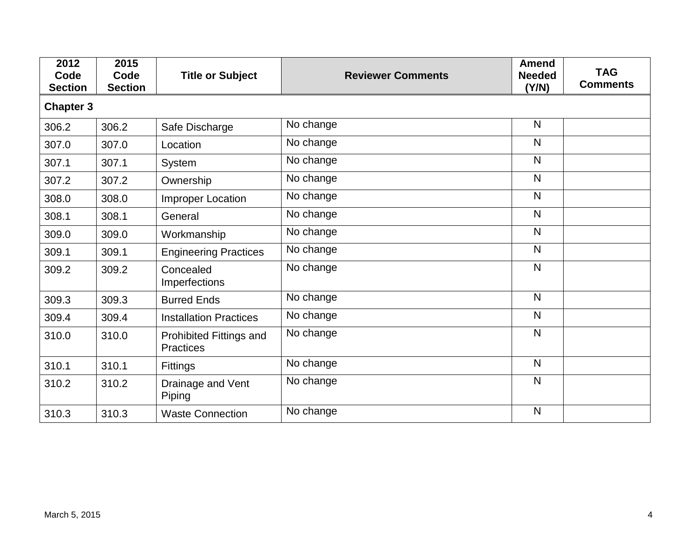| 2012<br>Code<br><b>Section</b> | 2015<br>Code<br><b>Section</b> | <b>Title or Subject</b>                     | <b>Reviewer Comments</b> | <b>Amend</b><br><b>Needed</b><br>(Y/N) | <b>TAG</b><br><b>Comments</b> |
|--------------------------------|--------------------------------|---------------------------------------------|--------------------------|----------------------------------------|-------------------------------|
| <b>Chapter 3</b>               |                                |                                             |                          |                                        |                               |
| 306.2                          | 306.2                          | Safe Discharge                              | No change                | $\mathsf{N}$                           |                               |
| 307.0                          | 307.0                          | Location                                    | No change                | $\mathsf{N}$                           |                               |
| 307.1                          | 307.1                          | System                                      | No change                | $\mathsf{N}$                           |                               |
| 307.2                          | 307.2                          | Ownership                                   | No change                | $\mathsf{N}$                           |                               |
| 308.0                          | 308.0                          | Improper Location                           | No change                | $\mathsf{N}$                           |                               |
| 308.1                          | 308.1                          | General                                     | No change                | $\mathsf{N}$                           |                               |
| 309.0                          | 309.0                          | Workmanship                                 | No change                | $\mathsf{N}$                           |                               |
| 309.1                          | 309.1                          | <b>Engineering Practices</b>                | No change                | $\mathsf{N}$                           |                               |
| 309.2                          | 309.2                          | Concealed<br>Imperfections                  | No change                | $\mathsf{N}$                           |                               |
| 309.3                          | 309.3                          | <b>Burred Ends</b>                          | No change                | $\mathsf{N}$                           |                               |
| 309.4                          | 309.4                          | <b>Installation Practices</b>               | No change                | $\mathsf{N}$                           |                               |
| 310.0                          | 310.0                          | Prohibited Fittings and<br><b>Practices</b> | No change                | $\mathsf{N}$                           |                               |
| 310.1                          | 310.1                          | <b>Fittings</b>                             | No change                | $\mathsf{N}$                           |                               |
| 310.2                          | 310.2                          | Drainage and Vent<br>Piping                 | No change                | $\mathsf{N}$                           |                               |
| 310.3                          | 310.3                          | <b>Waste Connection</b>                     | No change                | N                                      |                               |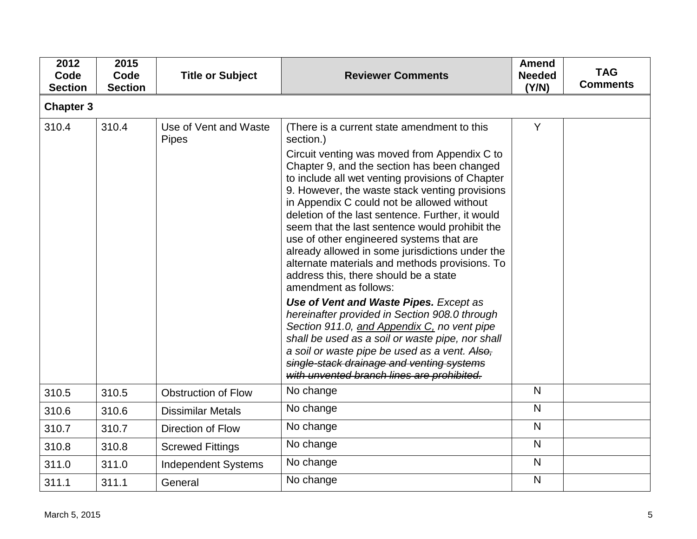| 2012<br>Code<br><b>Section</b> | 2015<br>Code<br><b>Section</b> | <b>Title or Subject</b>               | <b>Reviewer Comments</b>                                                                                                                                                                                                                                                                                                                                                                                                                                                                                                                                                                                                                                                                                                                                                                                                                                                                                                                                                       | <b>Amend</b><br><b>Needed</b><br>(Y/N) | <b>TAG</b><br><b>Comments</b> |
|--------------------------------|--------------------------------|---------------------------------------|--------------------------------------------------------------------------------------------------------------------------------------------------------------------------------------------------------------------------------------------------------------------------------------------------------------------------------------------------------------------------------------------------------------------------------------------------------------------------------------------------------------------------------------------------------------------------------------------------------------------------------------------------------------------------------------------------------------------------------------------------------------------------------------------------------------------------------------------------------------------------------------------------------------------------------------------------------------------------------|----------------------------------------|-------------------------------|
| <b>Chapter 3</b>               |                                |                                       |                                                                                                                                                                                                                                                                                                                                                                                                                                                                                                                                                                                                                                                                                                                                                                                                                                                                                                                                                                                |                                        |                               |
| 310.4                          | 310.4                          | Use of Vent and Waste<br><b>Pipes</b> | (There is a current state amendment to this<br>section.)<br>Circuit venting was moved from Appendix C to<br>Chapter 9, and the section has been changed<br>to include all wet venting provisions of Chapter<br>9. However, the waste stack venting provisions<br>in Appendix C could not be allowed without<br>deletion of the last sentence. Further, it would<br>seem that the last sentence would prohibit the<br>use of other engineered systems that are<br>already allowed in some jurisdictions under the<br>alternate materials and methods provisions. To<br>address this, there should be a state<br>amendment as follows:<br>Use of Vent and Waste Pipes. Except as<br>hereinafter provided in Section 908.0 through<br>Section 911.0, and Appendix C, no vent pipe<br>shall be used as a soil or waste pipe, nor shall<br>a soil or waste pipe be used as a vent. Also,<br>single-stack drainage and venting systems<br>with unvented branch lines are prohibited. | Y                                      |                               |
| 310.5                          | 310.5                          | <b>Obstruction of Flow</b>            | No change                                                                                                                                                                                                                                                                                                                                                                                                                                                                                                                                                                                                                                                                                                                                                                                                                                                                                                                                                                      | N                                      |                               |
| 310.6                          | 310.6                          | <b>Dissimilar Metals</b>              | No change                                                                                                                                                                                                                                                                                                                                                                                                                                                                                                                                                                                                                                                                                                                                                                                                                                                                                                                                                                      | N                                      |                               |
| 310.7                          | 310.7                          | Direction of Flow                     | No change                                                                                                                                                                                                                                                                                                                                                                                                                                                                                                                                                                                                                                                                                                                                                                                                                                                                                                                                                                      | N                                      |                               |
| 310.8                          | 310.8                          | <b>Screwed Fittings</b>               | No change                                                                                                                                                                                                                                                                                                                                                                                                                                                                                                                                                                                                                                                                                                                                                                                                                                                                                                                                                                      | $\overline{\mathsf{N}}$                |                               |
| 311.0                          | 311.0                          | <b>Independent Systems</b>            | No change                                                                                                                                                                                                                                                                                                                                                                                                                                                                                                                                                                                                                                                                                                                                                                                                                                                                                                                                                                      | N                                      |                               |
| 311.1                          | 311.1                          | General                               | No change                                                                                                                                                                                                                                                                                                                                                                                                                                                                                                                                                                                                                                                                                                                                                                                                                                                                                                                                                                      | N                                      |                               |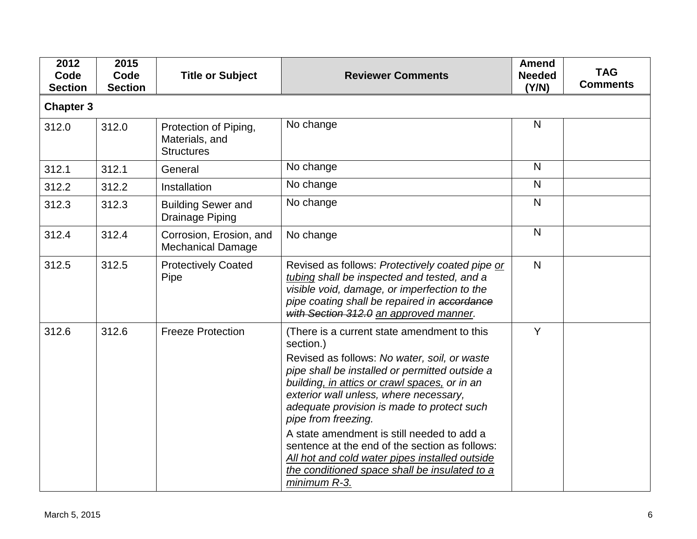| 2012<br>Code<br><b>Section</b> | 2015<br>Code<br><b>Section</b> | <b>Title or Subject</b>                                      | <b>Reviewer Comments</b>                                                                                                                                                                                                                                                                                                                                                                                                                                                                                                                      | <b>Amend</b><br><b>Needed</b><br>(Y/N) | <b>TAG</b><br><b>Comments</b> |
|--------------------------------|--------------------------------|--------------------------------------------------------------|-----------------------------------------------------------------------------------------------------------------------------------------------------------------------------------------------------------------------------------------------------------------------------------------------------------------------------------------------------------------------------------------------------------------------------------------------------------------------------------------------------------------------------------------------|----------------------------------------|-------------------------------|
| <b>Chapter 3</b>               |                                |                                                              |                                                                                                                                                                                                                                                                                                                                                                                                                                                                                                                                               |                                        |                               |
| 312.0                          | 312.0                          | Protection of Piping,<br>Materials, and<br><b>Structures</b> | No change                                                                                                                                                                                                                                                                                                                                                                                                                                                                                                                                     | N                                      |                               |
| 312.1                          | 312.1                          | General                                                      | No change                                                                                                                                                                                                                                                                                                                                                                                                                                                                                                                                     | N                                      |                               |
| 312.2                          | 312.2                          | Installation                                                 | No change                                                                                                                                                                                                                                                                                                                                                                                                                                                                                                                                     | $\mathsf{N}$                           |                               |
| 312.3                          | 312.3                          | <b>Building Sewer and</b><br>Drainage Piping                 | No change                                                                                                                                                                                                                                                                                                                                                                                                                                                                                                                                     | $\mathsf{N}$                           |                               |
| 312.4                          | 312.4                          | Corrosion, Erosion, and<br><b>Mechanical Damage</b>          | No change                                                                                                                                                                                                                                                                                                                                                                                                                                                                                                                                     | N                                      |                               |
| 312.5                          | 312.5                          | <b>Protectively Coated</b><br>Pipe                           | Revised as follows: Protectively coated pipe or<br>tubing shall be inspected and tested, and a<br>visible void, damage, or imperfection to the<br>pipe coating shall be repaired in accordance<br>with Section 312.0 an approved manner.                                                                                                                                                                                                                                                                                                      | $\mathsf{N}$                           |                               |
| 312.6                          | 312.6                          | <b>Freeze Protection</b>                                     | (There is a current state amendment to this<br>section.)<br>Revised as follows: No water, soil, or waste<br>pipe shall be installed or permitted outside a<br>building, in attics or crawl spaces, or in an<br>exterior wall unless, where necessary,<br>adequate provision is made to protect such<br>pipe from freezing.<br>A state amendment is still needed to add a<br>sentence at the end of the section as follows:<br>All hot and cold water pipes installed outside<br>the conditioned space shall be insulated to a<br>minimum R-3. | Y                                      |                               |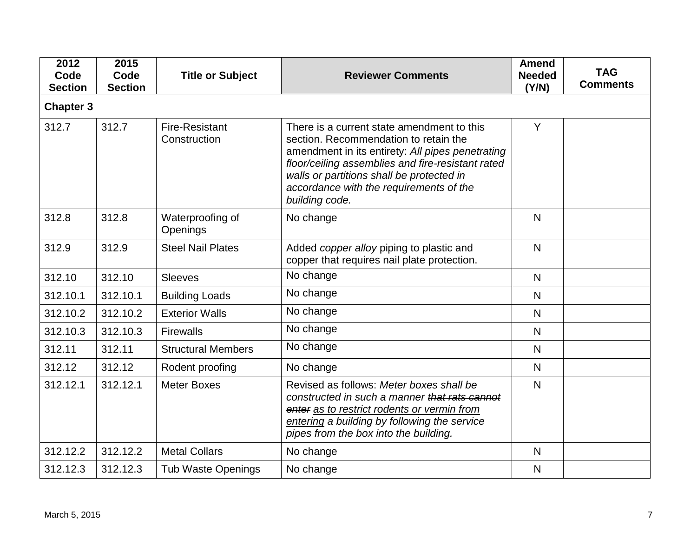| 2012<br>Code<br><b>Section</b> | 2015<br>Code<br><b>Section</b> | <b>Title or Subject</b>               | <b>Reviewer Comments</b>                                                                                                                                                                                                                                                                               | <b>Amend</b><br><b>Needed</b><br>(Y/N) | <b>TAG</b><br><b>Comments</b> |
|--------------------------------|--------------------------------|---------------------------------------|--------------------------------------------------------------------------------------------------------------------------------------------------------------------------------------------------------------------------------------------------------------------------------------------------------|----------------------------------------|-------------------------------|
| <b>Chapter 3</b>               |                                |                                       |                                                                                                                                                                                                                                                                                                        |                                        |                               |
| 312.7                          | 312.7                          | <b>Fire-Resistant</b><br>Construction | There is a current state amendment to this<br>section. Recommendation to retain the<br>amendment in its entirety: All pipes penetrating<br>floor/ceiling assemblies and fire-resistant rated<br>walls or partitions shall be protected in<br>accordance with the requirements of the<br>building code. | Y                                      |                               |
| 312.8                          | 312.8                          | Waterproofing of<br>Openings          | No change                                                                                                                                                                                                                                                                                              | $\overline{\mathsf{N}}$                |                               |
| 312.9                          | 312.9                          | <b>Steel Nail Plates</b>              | Added copper alloy piping to plastic and<br>copper that requires nail plate protection.                                                                                                                                                                                                                | $\mathsf{N}$                           |                               |
| 312.10                         | 312.10                         | <b>Sleeves</b>                        | No change                                                                                                                                                                                                                                                                                              | N                                      |                               |
| 312.10.1                       | 312.10.1                       | <b>Building Loads</b>                 | No change                                                                                                                                                                                                                                                                                              | N                                      |                               |
| 312.10.2                       | 312.10.2                       | <b>Exterior Walls</b>                 | No change                                                                                                                                                                                                                                                                                              | N                                      |                               |
| 312.10.3                       | 312.10.3                       | <b>Firewalls</b>                      | No change                                                                                                                                                                                                                                                                                              | N                                      |                               |
| 312.11                         | 312.11                         | <b>Structural Members</b>             | No change                                                                                                                                                                                                                                                                                              | N                                      |                               |
| 312.12                         | 312.12                         | Rodent proofing                       | No change                                                                                                                                                                                                                                                                                              | N                                      |                               |
| 312.12.1                       | 312.12.1                       | <b>Meter Boxes</b>                    | Revised as follows: Meter boxes shall be<br>constructed in such a manner that rats cannot<br>enter as to restrict rodents or vermin from<br>entering a building by following the service<br>pipes from the box into the building.                                                                      | N                                      |                               |
| 312.12.2                       | 312.12.2                       | <b>Metal Collars</b>                  | No change                                                                                                                                                                                                                                                                                              | $\mathsf{N}$                           |                               |
| 312.12.3                       | 312.12.3                       | <b>Tub Waste Openings</b>             | No change                                                                                                                                                                                                                                                                                              | N                                      |                               |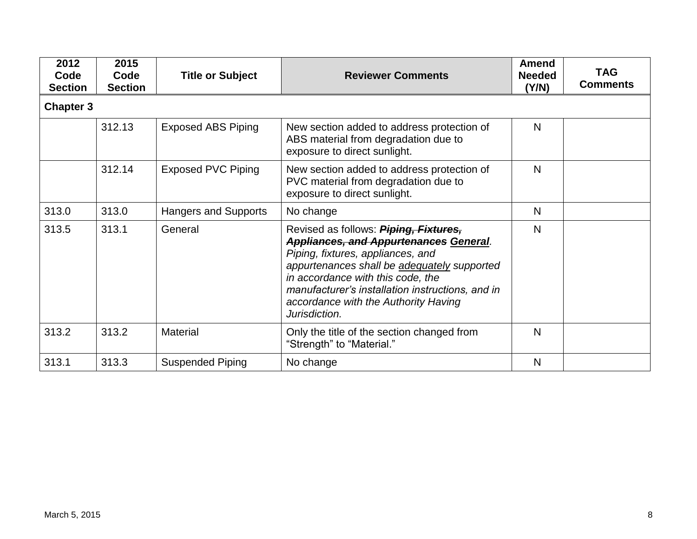| 2012<br>Code<br><b>Section</b> | 2015<br>Code<br><b>Section</b> | <b>Title or Subject</b>     | <b>Reviewer Comments</b>                                                                                                                                                                                                                                                                                                     | <b>Amend</b><br><b>Needed</b><br>(Y/N) | <b>TAG</b><br><b>Comments</b> |  |  |  |  |
|--------------------------------|--------------------------------|-----------------------------|------------------------------------------------------------------------------------------------------------------------------------------------------------------------------------------------------------------------------------------------------------------------------------------------------------------------------|----------------------------------------|-------------------------------|--|--|--|--|
|                                | <b>Chapter 3</b>               |                             |                                                                                                                                                                                                                                                                                                                              |                                        |                               |  |  |  |  |
|                                | 312.13                         | <b>Exposed ABS Piping</b>   | New section added to address protection of<br>ABS material from degradation due to<br>exposure to direct sunlight.                                                                                                                                                                                                           | N                                      |                               |  |  |  |  |
|                                | 312.14                         | <b>Exposed PVC Piping</b>   | New section added to address protection of<br>PVC material from degradation due to<br>exposure to direct sunlight.                                                                                                                                                                                                           | $\mathsf{N}$                           |                               |  |  |  |  |
| 313.0                          | 313.0                          | <b>Hangers and Supports</b> | No change                                                                                                                                                                                                                                                                                                                    | N                                      |                               |  |  |  |  |
| 313.5                          | 313.1                          | General                     | Revised as follows: Piping, Fixtures,<br><b>Appliances, and Appurtenances General.</b><br>Piping, fixtures, appliances, and<br>appurtenances shall be adequately supported<br>in accordance with this code, the<br>manufacturer's installation instructions, and in<br>accordance with the Authority Having<br>Jurisdiction. | $\mathsf{N}$                           |                               |  |  |  |  |
| 313.2                          | 313.2                          | <b>Material</b>             | Only the title of the section changed from<br>"Strength" to "Material."                                                                                                                                                                                                                                                      | N                                      |                               |  |  |  |  |
| 313.1                          | 313.3                          | <b>Suspended Piping</b>     | No change                                                                                                                                                                                                                                                                                                                    | N                                      |                               |  |  |  |  |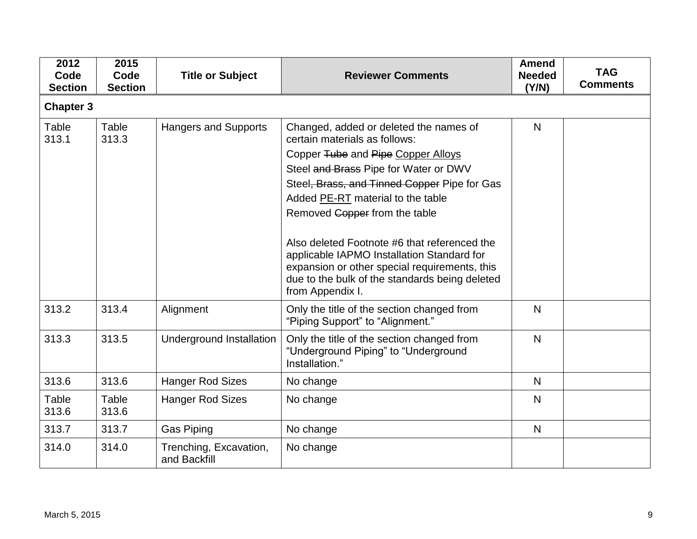| 2012<br>Code<br><b>Section</b> | 2015<br>Code<br><b>Section</b> | <b>Title or Subject</b>                | <b>Reviewer Comments</b>                                                                                                                                                                                                                                                                                                                                                                                                                                                                          | <b>Amend</b><br><b>Needed</b><br>(Y/N) | <b>TAG</b><br><b>Comments</b> |
|--------------------------------|--------------------------------|----------------------------------------|---------------------------------------------------------------------------------------------------------------------------------------------------------------------------------------------------------------------------------------------------------------------------------------------------------------------------------------------------------------------------------------------------------------------------------------------------------------------------------------------------|----------------------------------------|-------------------------------|
| <b>Chapter 3</b>               |                                |                                        |                                                                                                                                                                                                                                                                                                                                                                                                                                                                                                   |                                        |                               |
| Table<br>313.1                 | Table<br>313.3                 | Hangers and Supports                   | Changed, added or deleted the names of<br>certain materials as follows:<br>Copper Tube and Pipe Copper Alloys<br>Steel and Brass Pipe for Water or DWV<br>Steel, Brass, and Tinned Copper Pipe for Gas<br>Added PE-RT material to the table<br>Removed Copper from the table<br>Also deleted Footnote #6 that referenced the<br>applicable IAPMO Installation Standard for<br>expansion or other special requirements, this<br>due to the bulk of the standards being deleted<br>from Appendix I. | N                                      |                               |
| 313.2                          | 313.4                          | Alignment                              | Only the title of the section changed from<br>"Piping Support" to "Alignment."                                                                                                                                                                                                                                                                                                                                                                                                                    | N                                      |                               |
| 313.3                          | 313.5                          | <b>Underground Installation</b>        | Only the title of the section changed from<br>"Underground Piping" to "Underground<br>Installation."                                                                                                                                                                                                                                                                                                                                                                                              | N                                      |                               |
| 313.6                          | 313.6                          | <b>Hanger Rod Sizes</b>                | No change                                                                                                                                                                                                                                                                                                                                                                                                                                                                                         | N.                                     |                               |
| Table<br>313.6                 | Table<br>313.6                 | <b>Hanger Rod Sizes</b>                | No change                                                                                                                                                                                                                                                                                                                                                                                                                                                                                         | N                                      |                               |
| 313.7                          | 313.7                          | <b>Gas Piping</b>                      | No change                                                                                                                                                                                                                                                                                                                                                                                                                                                                                         | N                                      |                               |
| 314.0                          | 314.0                          | Trenching, Excavation,<br>and Backfill | No change                                                                                                                                                                                                                                                                                                                                                                                                                                                                                         |                                        |                               |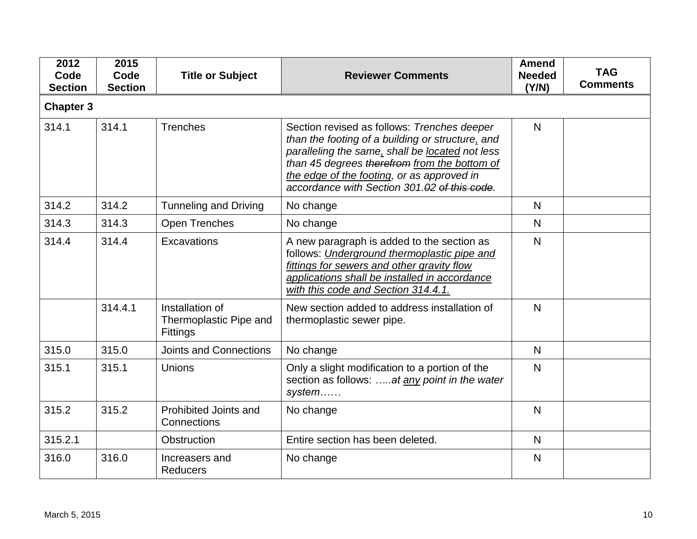| 2012<br>Code<br><b>Section</b> | 2015<br>Code<br><b>Section</b> | <b>Title or Subject</b>                                      | <b>Reviewer Comments</b>                                                                                                                                                                                                                                                                         | <b>Amend</b><br><b>Needed</b><br>(Y/N) | <b>TAG</b><br><b>Comments</b> |
|--------------------------------|--------------------------------|--------------------------------------------------------------|--------------------------------------------------------------------------------------------------------------------------------------------------------------------------------------------------------------------------------------------------------------------------------------------------|----------------------------------------|-------------------------------|
| <b>Chapter 3</b>               |                                |                                                              |                                                                                                                                                                                                                                                                                                  |                                        |                               |
| 314.1                          | 314.1                          | <b>Trenches</b>                                              | Section revised as follows: Trenches deeper<br>than the footing of a building or structure, and<br>paralleling the same, shall be located not less<br>than 45 degrees therefrom from the bottom of<br>the edge of the footing, or as approved in<br>accordance with Section 301.02 of this code. | N                                      |                               |
| 314.2                          | 314.2                          | <b>Tunneling and Driving</b>                                 | No change                                                                                                                                                                                                                                                                                        | $\mathsf{N}$                           |                               |
| 314.3                          | 314.3                          | <b>Open Trenches</b>                                         | No change                                                                                                                                                                                                                                                                                        | $\mathsf{N}$                           |                               |
| 314.4                          | 314.4                          | Excavations                                                  | A new paragraph is added to the section as<br>follows: Underground thermoplastic pipe and<br>fittings for sewers and other gravity flow<br>applications shall be installed in accordance<br>with this code and Section 314.4.1.                                                                  | $\mathsf{N}$                           |                               |
|                                | 314.4.1                        | Installation of<br>Thermoplastic Pipe and<br><b>Fittings</b> | New section added to address installation of<br>thermoplastic sewer pipe.                                                                                                                                                                                                                        | $\mathsf{N}$                           |                               |
| 315.0                          | 315.0                          | <b>Joints and Connections</b>                                | No change                                                                                                                                                                                                                                                                                        | N.                                     |                               |
| 315.1                          | 315.1                          | Unions                                                       | Only a slight modification to a portion of the<br>section as follows: at any point in the water<br>system                                                                                                                                                                                        | $\mathsf{N}$                           |                               |
| 315.2                          | 315.2                          | Prohibited Joints and<br>Connections                         | No change                                                                                                                                                                                                                                                                                        | $\mathsf{N}$                           |                               |
| 315.2.1                        |                                | Obstruction                                                  | Entire section has been deleted.                                                                                                                                                                                                                                                                 | N                                      |                               |
| 316.0                          | 316.0                          | Increasers and<br><b>Reducers</b>                            | No change                                                                                                                                                                                                                                                                                        | $\mathsf{N}$                           |                               |